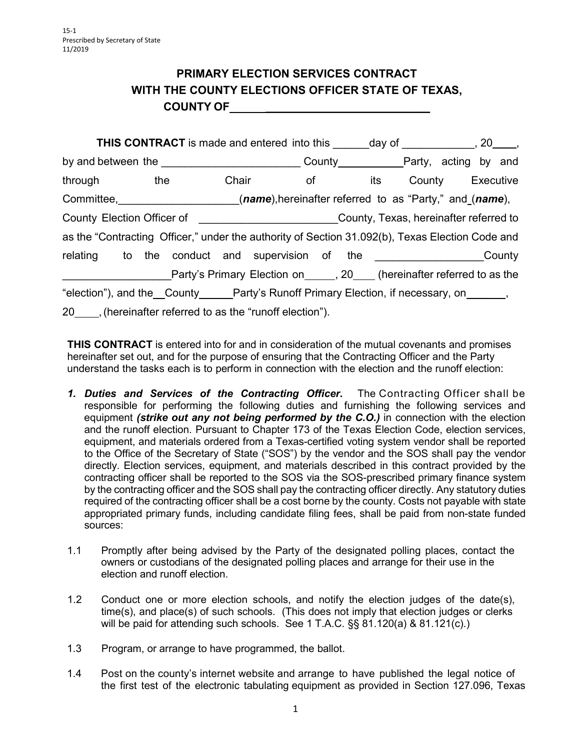## **COUNTY OF \_\_\_\_\_\_\_\_\_\_\_\_\_\_\_\_\_\_\_\_\_\_\_\_\_\_ PRIMARY ELECTION SERVICES CONTRACT WITH THE COUNTY ELECTIONS OFFICER STATE OF TEXAS,**

|                                                                                                 |  | <b>THIS CONTRACT</b> is made and entered into this ______day of ___________, 20____, |                         |  |                                              |  |  |
|-------------------------------------------------------------------------------------------------|--|--------------------------------------------------------------------------------------|-------------------------|--|----------------------------------------------|--|--|
|                                                                                                 |  |                                                                                      |                         |  | County <b>Example 2</b> Party, acting by and |  |  |
| through the                                                                                     |  | Chair                                                                                | $of$ and $\overline{a}$ |  | its County Executive                         |  |  |
| Committee, ______________________(name),hereinafter referred to as "Party," and (name),         |  |                                                                                      |                         |  |                                              |  |  |
| County Election Officer of _____________________________County, Texas, hereinafter referred to  |  |                                                                                      |                         |  |                                              |  |  |
| as the "Contracting Officer," under the authority of Section 31.092(b), Texas Election Code and |  |                                                                                      |                         |  |                                              |  |  |
| relating to the conduct and supervision of the ____________________County                       |  |                                                                                      |                         |  |                                              |  |  |
|                                                                                                 |  | Party's Primary Election on ______, 20____ (hereinafter referred to as the           |                         |  |                                              |  |  |
| "election"), and the_County_____Party's Runoff Primary Election, if necessary, on______,        |  |                                                                                      |                         |  |                                              |  |  |
| 20____, (hereinafter referred to as the "runoff election").                                     |  |                                                                                      |                         |  |                                              |  |  |

 **THIS CONTRACT** is entered into for and in consideration of the mutual covenants and promises hereinafter set out, and for the purpose of ensuring that the Contracting Officer and the Party understand the tasks each is to perform in connection with the election and the runoff election:

- *1. Duties and Services of the Contracting Officer.* The Contracting Officer shall be responsible for performing the following duties and furnishing the following services and equipment *(strike out any not being performed by the C.O.)* in connection with the election and the runoff election. Pursuant to Chapter 173 of the Texas Election Code, election services, equipment, and materials ordered from a Texas-certified voting system vendor shall be reported to the Office of the Secretary of State ("SOS") by the vendor and the SOS shall pay the vendor directly. Election services, equipment, and materials described in this contract provided by the by the contracting officer and the SOS shall pay the contracting officer directly. Any statutory duties required of the contracting officer shall be a cost borne by the county. Costs not payable with state contracting officer shall be reported to the SOS via the SOS-prescribed primary finance system appropriated primary funds, including candidate filing fees, shall be paid from non-state funded sources:
- 1.1 Promptly after being advised by the Party of the designated polling places, contact the owners or custodians of the designated polling places and arrange for their use in the election and runoff election.
- 1.2 Conduct one or more election schools, and notify the election judges of the date(s), time(s), and place(s) of such schools. (This does not imply that election judges or clerks will be paid for attending such schools. See 1 T.A.C. §§ 81.120(a) & 81.121(c).)
- 1.3 Program, or arrange to have programmed, the ballot.
- 1.4 Post on the county's internet website and arrange to have published the legal notice of the first test of the electronic tabulating equipment as provided in Section 127.096, Texas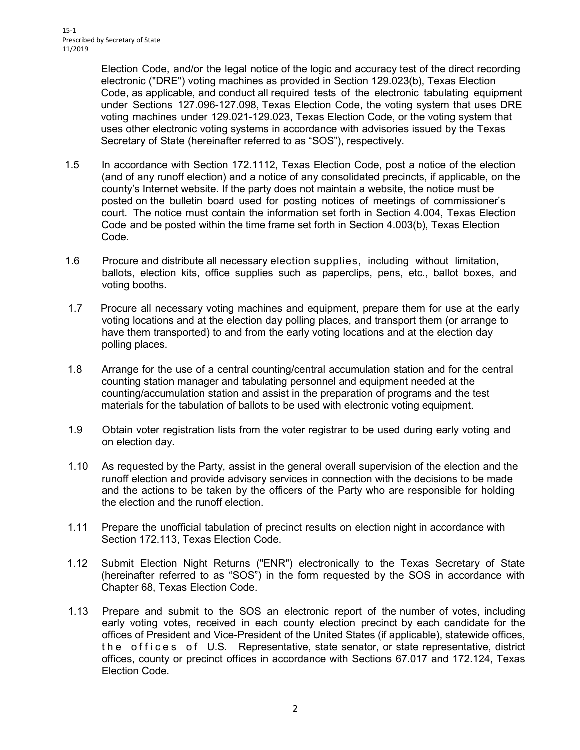Election Code, and/or the legal notice of the logic and accuracy test of the direct recording electronic ("DRE") voting machines as provided in Section 129.023(b), Texas Election Code, as applicable, and conduct all required tests of the electronic tabulating equipment under Sections 127.096-127.098, Texas Election Code, the voting system that uses DRE voting machines under 129.021-129.023, Texas Election Code, or the voting system that uses other electronic voting systems in accordance with advisories issued by the Texas Secretary of State (hereinafter referred to as "SOS"), respectively.

- $1.5$  (and of any runoff election) and a notice of any consolidated precincts, if applicable, on the posted on the bulletin board used for posting notices of meetings of commissioner's court. The notice must contain the information set forth in Section 4.004, Texas Election Code and be posted within the time frame set forth in Section 4.003(b), Texas Election In accordance with Section 172.1112, Texas Election Code, post a notice of the election county's Internet website. If the party does not maintain a website, the notice must be Code.
- $1.6$  ballots, election kits, office supplies such as paperclips, pens, etc., ballot boxes, and voting booths. Procure and distribute all necessary election supplies, including without limitation,
- $1.7$  voting locations and at the election day polling places, and transport them (or arrange to have them transported) to and from the early voting locations and at the election day polling places. Procure all necessary voting machines and equipment, prepare them for use at the early
- 1.8 Arrange for the use of a central counting/central accumulation station and for the central counting station manager and tabulating personnel and equipment needed at the counting/accumulation station and assist in the preparation of programs and the test materials for the tabulation of ballots to be used with electronic voting equipment.
- 1.9 Obtain voter registration lists from the voter registrar to be used during early voting and on election day.
- 1.10 As requested by the Party, assist in the general overall supervision of the election and the runoff election and provide advisory services in connection with the decisions to be made and the actions to be taken by the officers of the Party who are responsible for holding the election and the runoff election.
- 1.11 Prepare the unofficial tabulation of precinct results on election night in accordance with Section 172.113, Texas Election Code.
- 1.12 Submit Election Night Returns ("ENR") electronically to the Texas Secretary of State (hereinafter referred to as "SOS") in the form requested by the SOS in accordance with Chapter 68, Texas Election Code.
- 1.13 Prepare and submit to the SOS an electronic report of the number of votes, including early voting votes, received in each county election precinct by each candidate for the offices of President and Vice-President of the United States (if applicable), statewide offices, the offices of U.S. Representative, state senator, or state representative, district offices, county or precinct offices in accordance with Sections 67.017 and 172.124, Texas Election Code.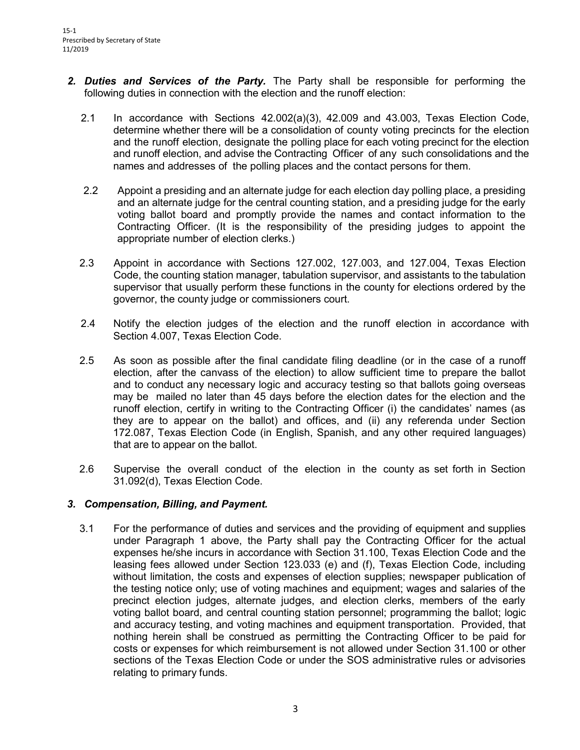- *2. Duties and Services of the Party.* The Party shall be responsible for performing the following duties in connection with the election and the runoff election:
	- 2.1 In accordance with Sections 42.002(a)(3), 42.009 and 43.003, Texas Election Code, determine whether there will be a consolidation of county voting precincts for the election and the runoff election, designate the polling place for each voting precinct for the election and runoff election, and advise the Contracting Officer of any such consolidations and the names and addresses of the polling places and the contact persons for them.
	- 2.2 Appoint a presiding and an alternate judge for each election day polling place, a presiding and an alternate judge for the central counting station, and a presiding judge for the early voting ballot board and promptly provide the names and contact information to the Contracting Officer. (It is the responsibility of the presiding judges to appoint the appropriate number of election clerks.)
	- 2.3 Appoint in accordance with Sections 127.002, 127.003, and 127.004, Texas Election Code, the counting station manager, tabulation supervisor, and assistants to the tabulation supervisor that usually perform these functions in the county for elections ordered by the governor, the county judge or commissioners court.
	- 2.4 Notify the election judges of the election and the runoff election in accordance with Section 4.007, Texas Election Code.
	- 2.5 As soon as possible after the final candidate filing deadline (or in the case of a runoff election, after the canvass of the election) to allow sufficient time to prepare the ballot and to conduct any necessary logic and accuracy testing so that ballots going overseas may be mailed no later than 45 days before the election dates for the election and the runoff election, certify in writing to the Contracting Officer (i) the candidates' names (as they are to appear on the ballot) and offices, and (ii) any referenda under Section 172.087, Texas Election Code (in English, Spanish, and any other required languages) that are to appear on the ballot.
	- 2.6 Supervise the overall conduct of the election in the county as set forth in Section 31.092(d), Texas Election Code.

#### *3. Compensation, Billing, and Payment.*

 3.1 For the performance of duties and services and the providing of equipment and supplies under Paragraph 1 above, the Party shall pay the Contracting Officer for the actual expenses he/she incurs in accordance with Section 31.100, Texas Election Code and the leasing fees allowed under Section 123.033 (e) and (f), Texas Election Code, including without limitation, the costs and expenses of election supplies; newspaper publication of the testing notice only; use of voting machines and equipment; wages and salaries of the precinct election judges, alternate judges, and election clerks, members of the early voting ballot board, and central counting station personnel; programming the ballot; logic and accuracy testing, and voting machines and equipment transportation. Provided, that nothing herein shall be construed as permitting the Contracting Officer to be paid for costs or expenses for which reimbursement is not allowed under Section 31.100 or other sections of the Texas Election Code or under the SOS administrative rules or advisories relating to primary funds.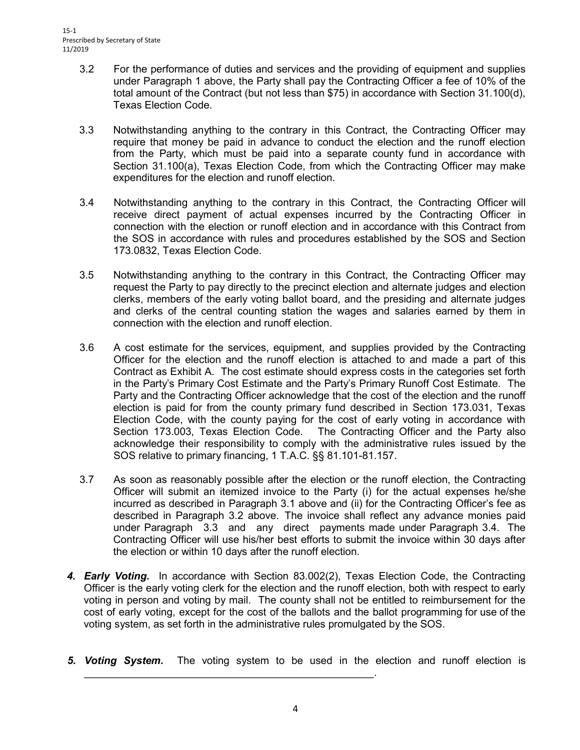- 3.2 For the performance of duties and services and the providing of equipment and supplies under Paragraph 1 above, the Party shall pay the Contracting Officer a fee of 10% of the total amount of the Contract (but not less than \$75) in accordance with Section 31.100(d), Texas Election Code.
- 3.3 Notwithstanding anything to the contrary in this Contract, the Contracting Officer may require that money be paid in advance to conduct the election and the runoff election from the Party, which must be paid into a separate county fund in accordance with Section 31.100(a), Texas Election Code, from which the Contracting Officer may make expenditures for the election and runoff election.
- 3.4 Notwithstanding anything to the contrary in this Contract, the Contracting Officer will receive direct payment of actual expenses incurred by the Contracting Officer in connection with the election or runoff election and in accordance with this Contract from the SOS in accordance with rules and procedures established by the SOS and Section 173.0832, Texas Election Code.
- 3.5 Notwithstanding anything to the contrary in this Contract, the Contracting Officer may request the Party to pay directly to the precinct election and alternate judges and election clerks, members of the early voting ballot board, and the presiding and alternate judges and clerks of the central counting station the wages and salaries earned by them in connection with the election and runoff election.
- 3.6 A cost estimate for the services, equipment, and supplies provided by the Contracting Officer for the election and the runoff election is attached to and made a part of this Contract as Exhibit A. The cost estimate should express costs in the categories set forth in the Party's Primary Cost Estimate and the Party's Primary Runoff Cost Estimate. The Party and the Contracting Officer acknowledge that the cost of the election and the runoff election is paid for from the county primary fund described in Section 173.031, Texas Election Code, with the county paying for the cost of early voting in accordance with Section 173.003, Texas Election Code. The Contracting Officer and the Party also acknowledge their responsibility to comply with the administrative rules issued by the SOS relative to primary financing, 1 T.A.C. §§ 81.101-81.157.
- 3.7 As soon as reasonably possible after the election or the runoff election, the Contracting Officer will submit an itemized invoice to the Party (i) for the actual expenses he/she incurred as described in Paragraph 3.1 above and (ii) for the Contracting Officer's fee as described in Paragraph 3.2 above. The invoice shall reflect any advance monies paid under Paragraph 3.3 and any direct payments made under Paragraph 3.4. The Contracting Officer will use his/her best efforts to submit the invoice within 30 days after the election or within 10 days after the runoff election.
- **4. Early Voting.** In accordance with Section 83.002(2), Texas Election Code, the Contracting Officer is the early voting clerk for the election and the runoff election, both with respect to early voting in person and voting by mail. The county shall not be entitled to reimbursement for the cost of early voting, except for the cost of the ballots and the ballot programming for use of the voting system, as set forth in the administrative rules promulgated by the SOS.
- *5. Voting System.* The voting system to be used in the election and runoff election is

 $\mathcal{L}_\text{max}$  , and the contract of the contract of the contract of the contract of the contract of the contract of the contract of the contract of the contract of the contract of the contract of the contract of the contr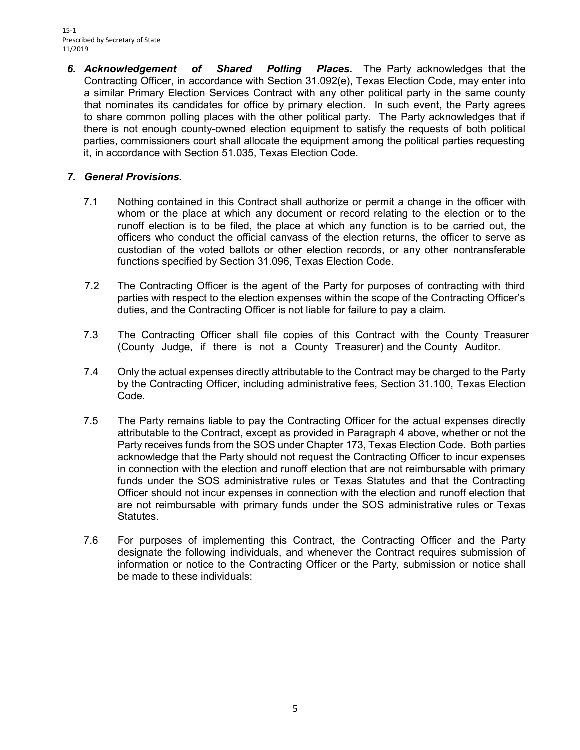6. Acknowledgement of Contracting Officer, in accordance with Section 31.092(e), Texas Election Code, may enter into a similar Primary Election Services Contract with any other political party in the same county that nominates its candidates for office by primary election. In such event, the Party agrees to share common polling places with the other political party. The Party acknowledges that if there is not enough county-owned election equipment to satisfy the requests of both political parties, commissioners court shall allocate the equipment among the political parties requesting *Shared Polling Places.* The Party acknowledges that the it, in accordance with Section 51.035, Texas Election Code.

### *7. General Provisions.*

- 7.1 Nothing contained in this Contract shall authorize or permit a change in the officer with whom or the place at which any document or record relating to the election or to the runoff election is to be filed, the place at which any function is to be carried out, the officers who conduct the official canvass of the election returns, the officer to serve as custodian of the voted ballots or other election records, or any other nontransferable functions specified by Section 31.096, Texas Election Code.
- 7.2 The Contracting Officer is the agent of the Party for purposes of contracting with third parties with respect to the election expenses within the scope of the Contracting Officer's duties, and the Contracting Officer is not liable for failure to pay a claim.
- $7.3$  (County Judge, if there is not a County Treasurer) and the County Auditor. The Contracting Officer shall file copies of this Contract with the County Treasurer
- 7.4 Only the actual expenses directly attributable to the Contract may be charged to the Party by the Contracting Officer, including administrative fees, Section 31.100, Texas Election Code.
- 7.5 The Party remains liable to pay the Contracting Officer for the actual expenses directly attributable to the Contract, except as provided in Paragraph 4 above, whether or not the Party receives funds from the SOS under Chapter 173, Texas Election Code. Both parties acknowledge that the Party should not request the Contracting Officer to incur expenses in connection with the election and runoff election that are not reimbursable with primary funds under the SOS administrative rules or Texas Statutes and that the Contracting Officer should not incur expenses in connection with the election and runoff election that are not reimbursable with primary funds under the SOS administrative rules or Texas Statutes.
- 7.6 For purposes of implementing this Contract, the Contracting Officer and the Party designate the following individuals, and whenever the Contract requires submission of information or notice to the Contracting Officer or the Party, submission or notice shall be made to these individuals: